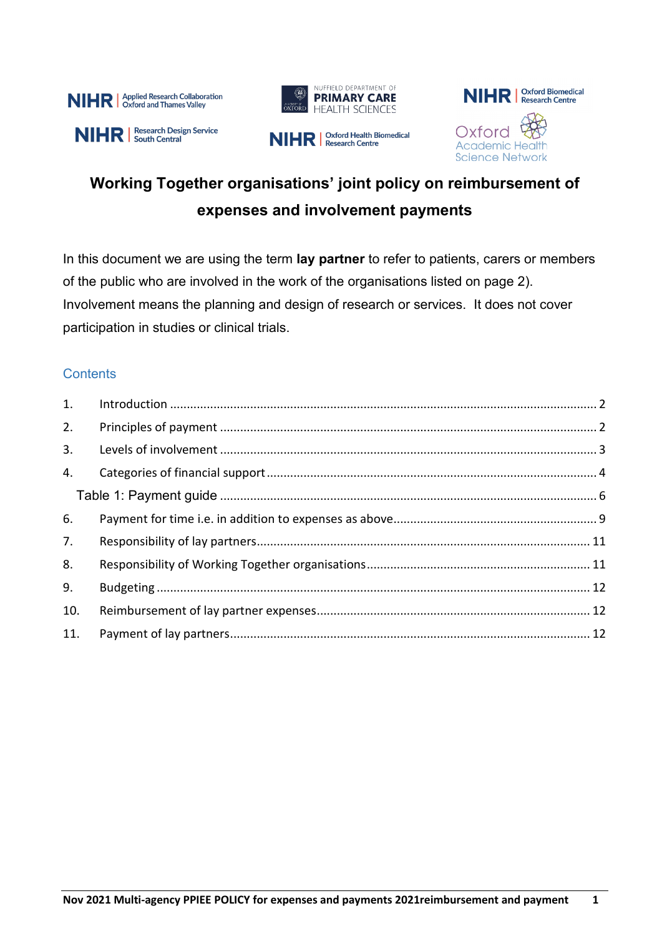







# **Working Together organisations' joint policy on reimbursement of expenses and involvement payments**

In this document we are using the term **lay partner** to refer to patients, carers or members of the public who are involved in the work of the organisations listed on page 2). Involvement means the planning and design of research or services. It does not cover participation in studies or clinical trials.

# **Contents**

| 1.  |  |  |  |
|-----|--|--|--|
| 2.  |  |  |  |
| 3.  |  |  |  |
| 4.  |  |  |  |
|     |  |  |  |
| 6.  |  |  |  |
| 7.  |  |  |  |
| 8.  |  |  |  |
| 9.  |  |  |  |
| 10. |  |  |  |
| 11. |  |  |  |
|     |  |  |  |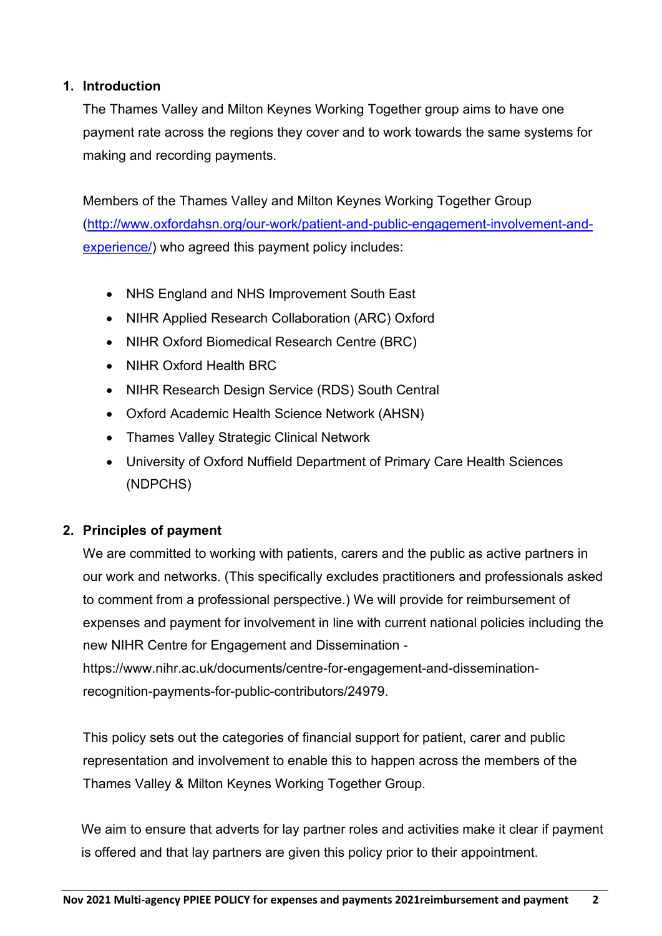#### <span id="page-1-0"></span>**1. Introduction**

The Thames Valley and Milton Keynes Working Together group aims to have one payment rate across the regions they cover and to work towards the same systems for making and recording payments.

Members of the Thames Valley and Milton Keynes Working Together Group [\(http://www.oxfordahsn.org/our-work/patient-and-public-engagement-involvement-and](http://www.oxfordahsn.org/our-work/patient-and-public-engagement-involvement-and-experience/)[experience/\)](http://www.oxfordahsn.org/our-work/patient-and-public-engagement-involvement-and-experience/) who agreed this payment policy includes:

- NHS England and NHS Improvement South East
- NIHR Applied Research Collaboration (ARC) Oxford
- NIHR Oxford Biomedical Research Centre (BRC)
- NIHR Oxford Health BRC
- NIHR Research Design Service (RDS) South Central
- Oxford Academic Health Science Network (AHSN)
- Thames Valley Strategic Clinical Network
- University of Oxford Nuffield Department of Primary Care Health Sciences (NDPCHS)

# <span id="page-1-1"></span>**2. Principles of payment**

We are committed to working with patients, carers and the public as active partners in our work and networks. (This specifically excludes practitioners and professionals asked to comment from a professional perspective.) We will provide for reimbursement of expenses and payment for involvement in line with current national policies including the new NIHR Centre for Engagement and Dissemination https://www.nihr.ac.uk/documents/centre-for-engagement-and-dissemination-

recognition-payments-for-public-contributors/24979.

This policy sets out the categories of financial support for patient, carer and public representation and involvement to enable this to happen across the members of the Thames Valley & Milton Keynes Working Together Group.

We aim to ensure that adverts for lay partner roles and activities make it clear if payment is offered and that lay partners are given this policy prior to their appointment.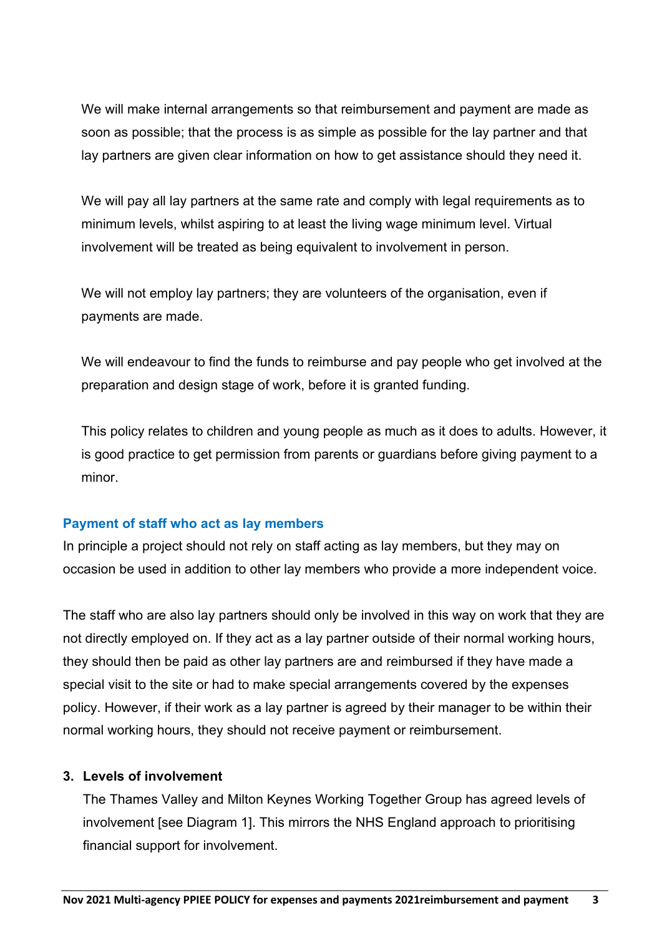We will make internal arrangements so that reimbursement and payment are made as soon as possible; that the process is as simple as possible for the lay partner and that lay partners are given clear information on how to get assistance should they need it.

We will pay all lay partners at the same rate and comply with legal requirements as to minimum levels, whilst aspiring to at least the living wage minimum level. Virtual involvement will be treated as being equivalent to involvement in person.

We will not employ lay partners; they are volunteers of the organisation, even if payments are made.

We will endeavour to find the funds to reimburse and pay people who get involved at the preparation and design stage of work, before it is granted funding.

This policy relates to children and young people as much as it does to adults. However, it is good practice to get permission from parents or guardians before giving payment to a minor.

#### **Payment of staff who act as lay members**

In principle a project should not rely on staff acting as lay members, but they may on occasion be used in addition to other lay members who provide a more independent voice.

The staff who are also lay partners should only be involved in this way on work that they are not directly employed on. If they act as a lay partner outside of their normal working hours, they should then be paid as other lay partners are and reimbursed if they have made a special visit to the site or had to make special arrangements covered by the expenses policy. However, if their work as a lay partner is agreed by their manager to be within their normal working hours, they should not receive payment or reimbursement.

#### <span id="page-2-0"></span>**3. Levels of involvement**

The Thames Valley and Milton Keynes Working Together Group has agreed levels of involvement [see Diagram 1]. This mirrors the NHS England approach to prioritising financial support for involvement.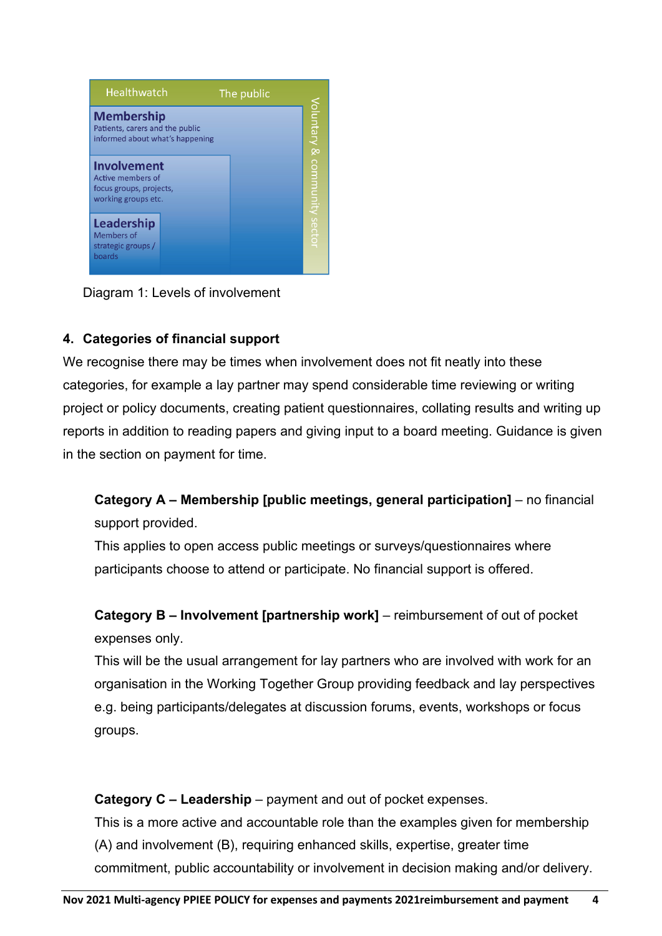

Diagram 1: Levels of involvement

# <span id="page-3-0"></span>**4. Categories of financial support**

We recognise there may be times when involvement does not fit neatly into these categories, for example a lay partner may spend considerable time reviewing or writing project or policy documents, creating patient questionnaires, collating results and writing up reports in addition to reading papers and giving input to a board meeting. Guidance is given in the section on payment for time.

**Category A – Membership [public meetings, general participation]** – no financial support provided.

This applies to open access public meetings or surveys/questionnaires where participants choose to attend or participate. No financial support is offered.

**Category B – Involvement [partnership work]** – reimbursement of out of pocket expenses only.

This will be the usual arrangement for lay partners who are involved with work for an organisation in the Working Together Group providing feedback and lay perspectives e.g. being participants/delegates at discussion forums, events, workshops or focus groups.

**Category C – Leadership** – payment and out of pocket expenses.

This is a more active and accountable role than the examples given for membership (A) and involvement (B), requiring enhanced skills, expertise, greater time commitment, public accountability or involvement in decision making and/or delivery.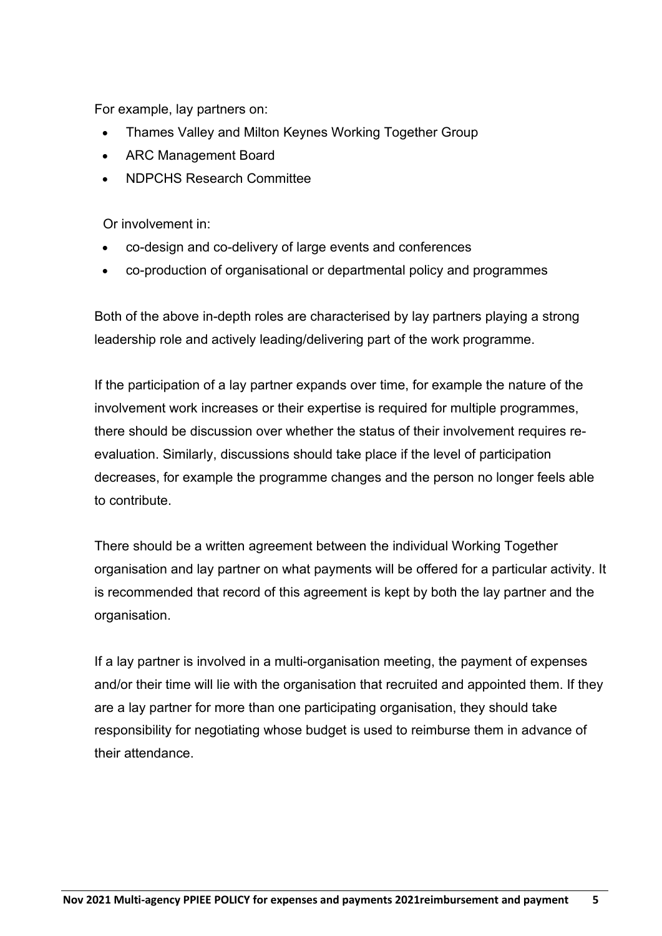For example, lay partners on:

- Thames Valley and Milton Keynes Working Together Group
- ARC Management Board
- NDPCHS Research Committee

Or involvement in:

- co-design and co-delivery of large events and conferences
- co-production of organisational or departmental policy and programmes

Both of the above in-depth roles are characterised by lay partners playing a strong leadership role and actively leading/delivering part of the work programme.

If the participation of a lay partner expands over time, for example the nature of the involvement work increases or their expertise is required for multiple programmes, there should be discussion over whether the status of their involvement requires reevaluation. Similarly, discussions should take place if the level of participation decreases, for example the programme changes and the person no longer feels able to contribute.

There should be a written agreement between the individual Working Together organisation and lay partner on what payments will be offered for a particular activity. It is recommended that record of this agreement is kept by both the lay partner and the organisation.

If a lay partner is involved in a multi-organisation meeting, the payment of expenses and/or their time will lie with the organisation that recruited and appointed them. If they are a lay partner for more than one participating organisation, they should take responsibility for negotiating whose budget is used to reimburse them in advance of their attendance.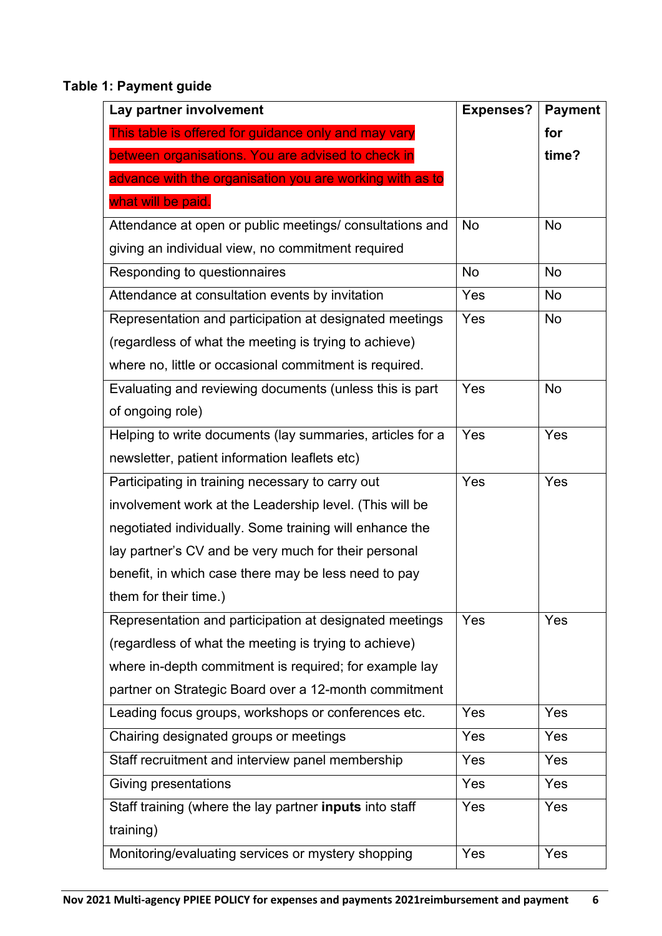# <span id="page-5-0"></span>**Table 1: Payment guide**

| Lay partner involvement                                        | <b>Expenses?</b> | <b>Payment</b> |
|----------------------------------------------------------------|------------------|----------------|
| This table is offered for guidance only and may vary           |                  | for            |
| between organisations. You are advised to check in             |                  | time?          |
| advance with the organisation you are working with as to       |                  |                |
| what will be paid.                                             |                  |                |
| Attendance at open or public meetings/ consultations and       | <b>No</b>        | <b>No</b>      |
| giving an individual view, no commitment required              |                  |                |
| Responding to questionnaires                                   | <b>No</b>        | <b>No</b>      |
| Attendance at consultation events by invitation                | Yes              | <b>No</b>      |
| Representation and participation at designated meetings        | Yes              | <b>No</b>      |
| (regardless of what the meeting is trying to achieve)          |                  |                |
| where no, little or occasional commitment is required.         |                  |                |
| Evaluating and reviewing documents (unless this is part        | Yes              | <b>No</b>      |
| of ongoing role)                                               |                  |                |
| Helping to write documents (lay summaries, articles for a      | Yes              | Yes            |
| newsletter, patient information leaflets etc)                  |                  |                |
| Participating in training necessary to carry out               | Yes              | Yes            |
| involvement work at the Leadership level. (This will be        |                  |                |
| negotiated individually. Some training will enhance the        |                  |                |
| lay partner's CV and be very much for their personal           |                  |                |
| benefit, in which case there may be less need to pay           |                  |                |
| them for their time.)                                          |                  |                |
| Representation and participation at designated meetings        | Yes              | Yes            |
| (regardless of what the meeting is trying to achieve)          |                  |                |
| where in-depth commitment is required; for example lay         |                  |                |
| partner on Strategic Board over a 12-month commitment          |                  |                |
| Leading focus groups, workshops or conferences etc.            | Yes              | Yes            |
| Chairing designated groups or meetings                         | Yes              | Yes            |
| Staff recruitment and interview panel membership               | Yes              | Yes            |
| Giving presentations                                           | Yes              | Yes            |
| Staff training (where the lay partner <b>inputs</b> into staff | Yes              | Yes            |
| training)                                                      |                  |                |
| Monitoring/evaluating services or mystery shopping             | Yes              | Yes            |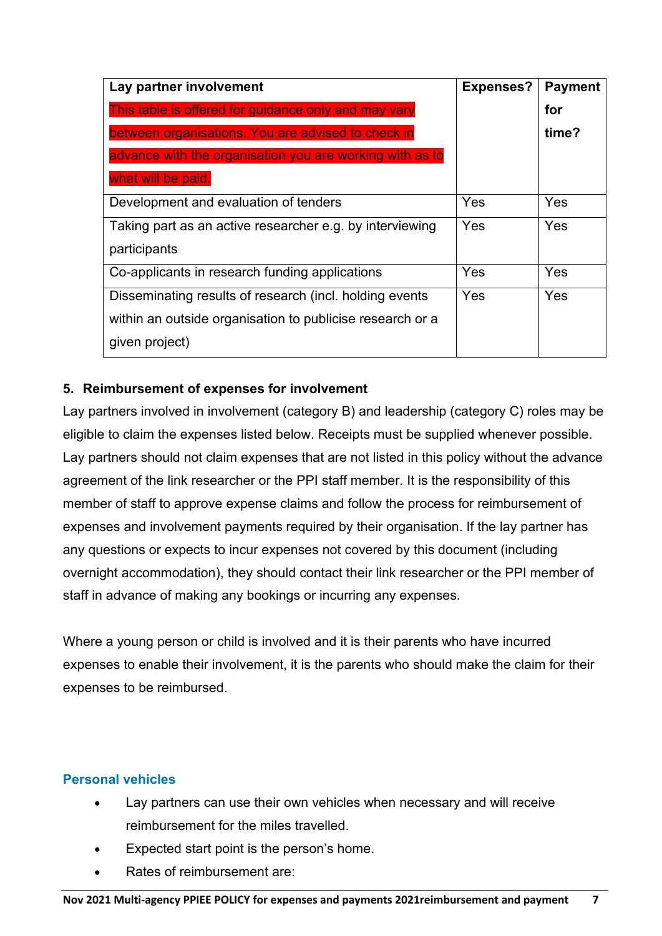| Lay partner involvement                                   | <b>Expenses?</b> | <b>Payment</b> |
|-----------------------------------------------------------|------------------|----------------|
| This table is offered for guidance only and may vary      |                  | for            |
| between organisations. You are advised to check in        |                  | time?          |
| advance with the organisation you are working with as to  |                  |                |
| what will be paid.                                        |                  |                |
| Development and evaluation of tenders                     | Yes              | Yes            |
| Taking part as an active researcher e.g. by interviewing  | Yes              | Yes            |
| participants                                              |                  |                |
| Co-applicants in research funding applications            | Yes              | Yes            |
| Disseminating results of research (incl. holding events   | Yes              | Yes            |
| within an outside organisation to publicise research or a |                  |                |
| given project)                                            |                  |                |

# **5. Reimbursement of expenses for involvement**

Lay partners involved in involvement (category B) and leadership (category C) roles may be eligible to claim the expenses listed below. Receipts must be supplied whenever possible. Lay partners should not claim expenses that are not listed in this policy without the advance agreement of the link researcher or the PPI staff member. It is the responsibility of this member of staff to approve expense claims and follow the process for reimbursement of expenses and involvement payments required by their organisation. If the lay partner has any questions or expects to incur expenses not covered by this document (including overnight accommodation), they should contact their link researcher or the PPI member of staff in advance of making any bookings or incurring any expenses.

Where a young person or child is involved and it is their parents who have incurred expenses to enable their involvement, it is the parents who should make the claim for their expenses to be reimbursed.

#### **Personal vehicles**

- Lay partners can use their own vehicles when necessary and will receive reimbursement for the miles travelled.
- Expected start point is the person's home.
- Rates of reimbursement are: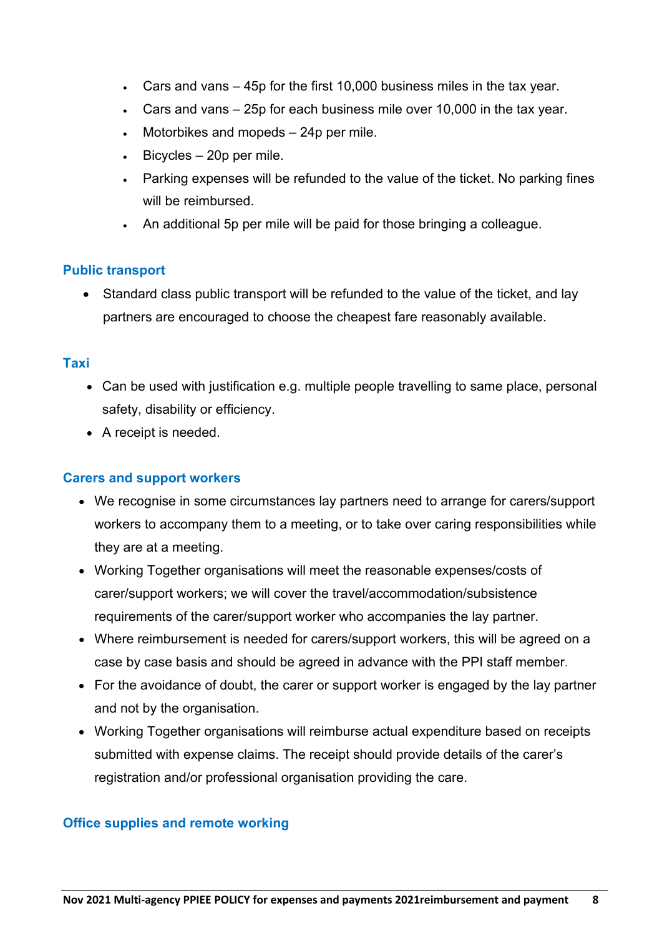- Cars and vans 45p for the first 10,000 business miles in the tax year.
- Cars and vans 25p for each business mile over 10,000 in the tax year.
- Motorbikes and mopeds 24p per mile.
- $\bullet$  Bicycles 20p per mile.
- Parking expenses will be refunded to the value of the ticket. No parking fines will be reimbursed.
- An additional 5p per mile will be paid for those bringing a colleague.

### **Public transport**

• Standard class public transport will be refunded to the value of the ticket, and lay partners are encouraged to choose the cheapest fare reasonably available.

#### **Taxi**

- Can be used with justification e.g. multiple people travelling to same place, personal safety, disability or efficiency.
- A receipt is needed.

#### **Carers and support workers**

- We recognise in some circumstances lay partners need to arrange for carers/support workers to accompany them to a meeting, or to take over caring responsibilities while they are at a meeting.
- Working Together organisations will meet the reasonable expenses/costs of carer/support workers; we will cover the travel/accommodation/subsistence requirements of the carer/support worker who accompanies the lay partner.
- Where reimbursement is needed for carers/support workers, this will be agreed on a case by case basis and should be agreed in advance with the PPI staff member.
- For the avoidance of doubt, the carer or support worker is engaged by the lay partner and not by the organisation.
- Working Together organisations will reimburse actual expenditure based on receipts submitted with expense claims. The receipt should provide details of the carer's registration and/or professional organisation providing the care.

#### **Office supplies and remote working**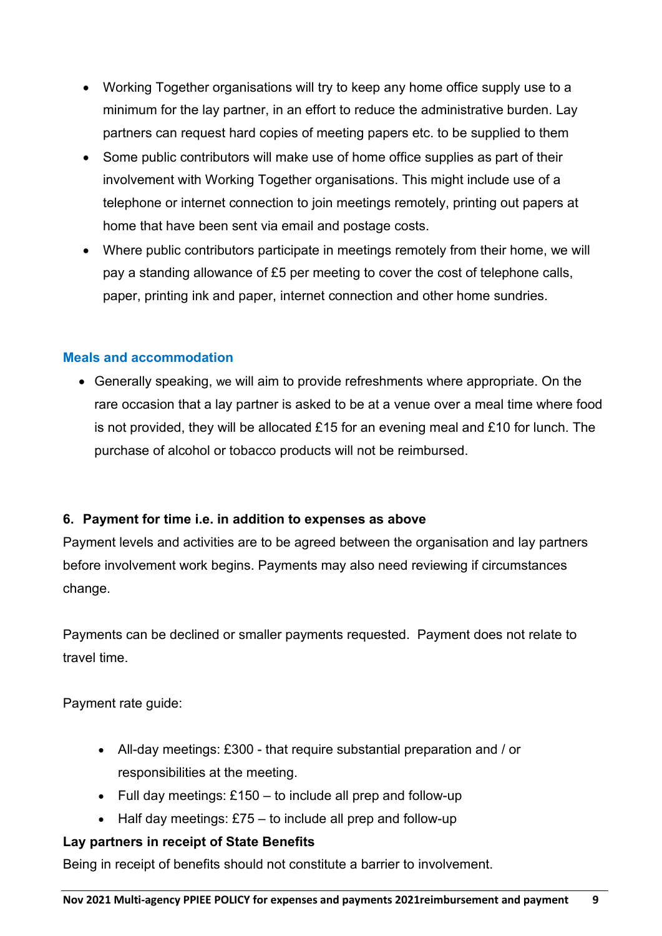- Working Together organisations will try to keep any home office supply use to a minimum for the lay partner, in an effort to reduce the administrative burden. Lay partners can request hard copies of meeting papers etc. to be supplied to them
- Some public contributors will make use of home office supplies as part of their involvement with Working Together organisations. This might include use of a telephone or internet connection to join meetings remotely, printing out papers at home that have been sent via email and postage costs.
- Where public contributors participate in meetings remotely from their home, we will pay a standing allowance of £5 per meeting to cover the cost of telephone calls, paper, printing ink and paper, internet connection and other home sundries.

#### **Meals and accommodation**

• Generally speaking, we will aim to provide refreshments where appropriate. On the rare occasion that a lay partner is asked to be at a venue over a meal time where food is not provided, they will be allocated £15 for an evening meal and £10 for lunch. The purchase of alcohol or tobacco products will not be reimbursed.

#### <span id="page-8-0"></span>**6. Payment for time i.e. in addition to expenses as above**

Payment levels and activities are to be agreed between the organisation and lay partners before involvement work begins. Payments may also need reviewing if circumstances change.

Payments can be declined or smaller payments requested. Payment does not relate to travel time.

Payment rate guide:

- All-day meetings: £300 that require substantial preparation and / or responsibilities at the meeting.
- Full day meetings: £150 to include all prep and follow-up
- Half day meetings: £75 to include all prep and follow-up

#### **Lay partners in receipt of State Benefits**

Being in receipt of benefits should not constitute a barrier to involvement.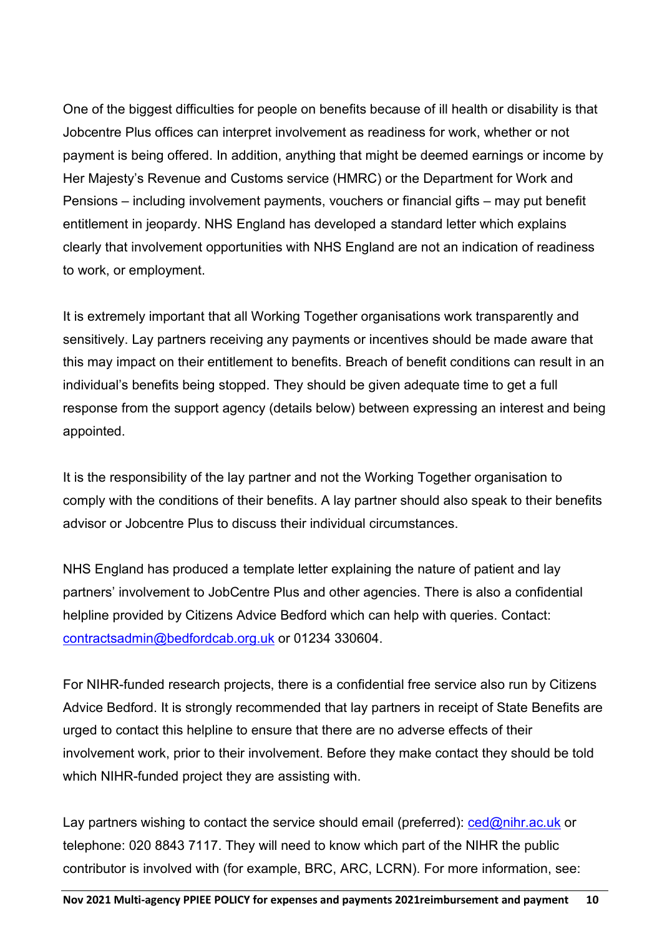One of the biggest difficulties for people on benefits because of ill health or disability is that Jobcentre Plus offices can interpret involvement as readiness for work, whether or not payment is being offered. In addition, anything that might be deemed earnings or income by Her Majesty's Revenue and Customs service (HMRC) or the Department for Work and Pensions – including involvement payments, vouchers or financial gifts – may put benefit entitlement in jeopardy. NHS England has developed a standard letter which explains clearly that involvement opportunities with NHS England are not an indication of readiness to work, or employment.

It is extremely important that all Working Together organisations work transparently and sensitively. Lay partners receiving any payments or incentives should be made aware that this may impact on their entitlement to benefits. Breach of benefit conditions can result in an individual's benefits being stopped. They should be given adequate time to get a full response from the support agency (details below) between expressing an interest and being appointed.

It is the responsibility of the lay partner and not the Working Together organisation to comply with the conditions of their benefits. A lay partner should also speak to their benefits advisor or Jobcentre Plus to discuss their individual circumstances.

NHS England has produced a template letter explaining the nature of patient and lay partners' involvement to JobCentre Plus and other agencies. There is also a confidential helpline provided by Citizens Advice Bedford which can help with queries. Contact: [contractsadmin@bedfordcab.org.uk](mailto:contractsadmin@bedfordcab.org.uk) or 01234 330604.

For NIHR-funded research projects, there is a confidential free service also run by Citizens Advice Bedford. It is strongly recommended that lay partners in receipt of State Benefits are urged to contact this helpline to ensure that there are no adverse effects of their involvement work, prior to their involvement. Before they make contact they should be told which NIHR-funded project they are assisting with.

Lay partners wishing to contact the service should email (preferred):  $\text{ced@ninr.ac.uk}$  or telephone: 020 8843 7117. They will need to know which part of the NIHR the public contributor is involved with (for example, BRC, ARC, LCRN). For more information, see: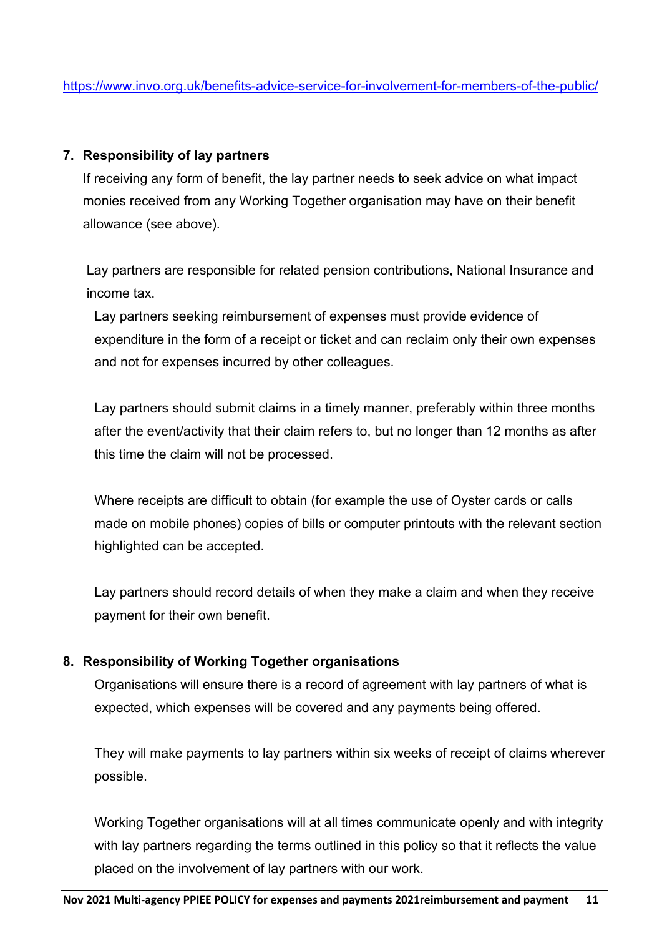#### <span id="page-10-0"></span>**7. Responsibility of lay partners**

If receiving any form of benefit, the lay partner needs to seek advice on what impact monies received from any Working Together organisation may have on their benefit allowance (see above).

Lay partners are responsible for related pension contributions, National Insurance and income tax.

Lay partners seeking reimbursement of expenses must provide evidence of expenditure in the form of a receipt or ticket and can reclaim only their own expenses and not for expenses incurred by other colleagues.

Lay partners should submit claims in a timely manner, preferably within three months after the event/activity that their claim refers to, but no longer than 12 months as after this time the claim will not be processed.

Where receipts are difficult to obtain (for example the use of Oyster cards or calls made on mobile phones) copies of bills or computer printouts with the relevant section highlighted can be accepted.

Lay partners should record details of when they make a claim and when they receive payment for their own benefit.

#### <span id="page-10-1"></span>**8. Responsibility of Working Together organisations**

Organisations will ensure there is a record of agreement with lay partners of what is expected, which expenses will be covered and any payments being offered.

They will make payments to lay partners within six weeks of receipt of claims wherever possible.

Working Together organisations will at all times communicate openly and with integrity with lay partners regarding the terms outlined in this policy so that it reflects the value placed on the involvement of lay partners with our work.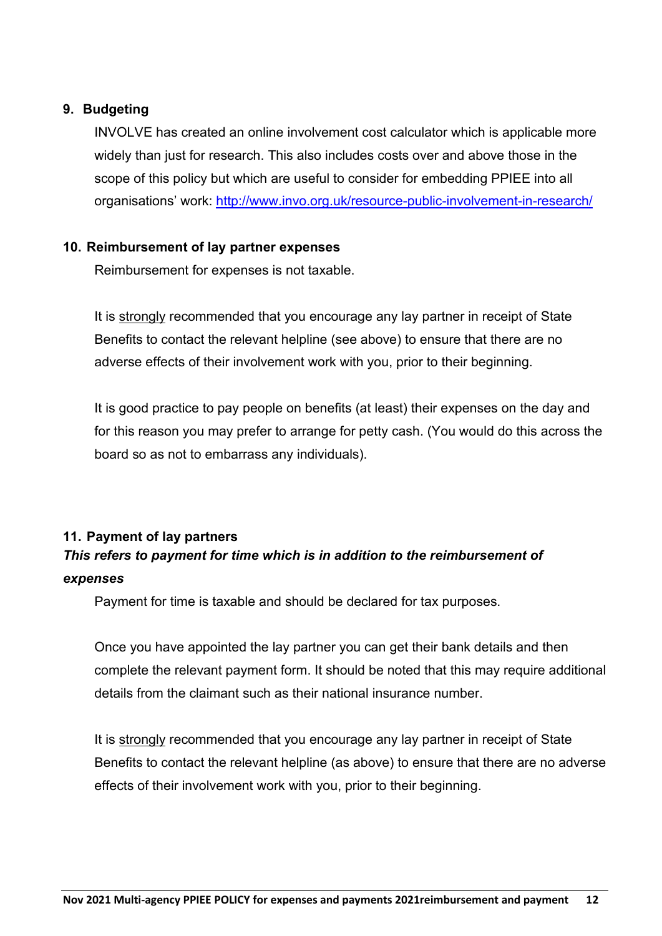#### <span id="page-11-0"></span>**9. Budgeting**

INVOLVE has created an online involvement cost calculator which is applicable more widely than just for research. This also includes costs over and above those in the scope of this policy but which are useful to consider for embedding PPIEE into all organisations' work: <http://www.invo.org.uk/resource-public-involvement-in-research/>

#### <span id="page-11-1"></span>**10. Reimbursement of lay partner expenses**

Reimbursement for expenses is not taxable.

It is strongly recommended that you encourage any lay partner in receipt of State Benefits to contact the relevant helpline (see above) to ensure that there are no adverse effects of their involvement work with you, prior to their beginning.

It is good practice to pay people on benefits (at least) their expenses on the day and for this reason you may prefer to arrange for petty cash. (You would do this across the board so as not to embarrass any individuals).

#### <span id="page-11-2"></span>**11. Payment of lay partners**

# *This refers to payment for time which is in addition to the reimbursement of expenses*

Payment for time is taxable and should be declared for tax purposes.

Once you have appointed the lay partner you can get their bank details and then complete the relevant payment form. It should be noted that this may require additional details from the claimant such as their national insurance number.

It is strongly recommended that you encourage any lay partner in receipt of State Benefits to contact the relevant helpline (as above) to ensure that there are no adverse effects of their involvement work with you, prior to their beginning.